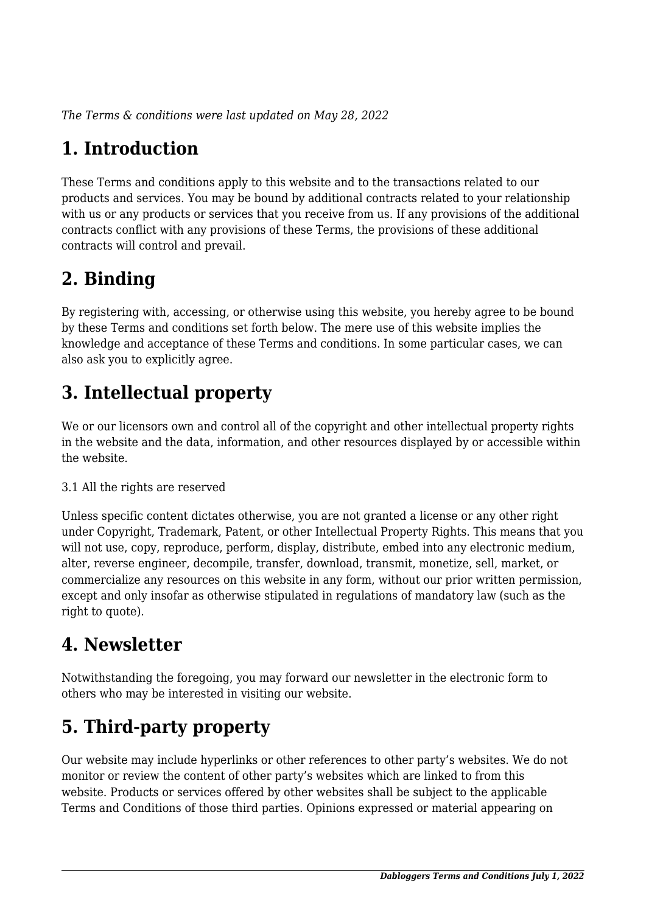*The Terms & conditions were last updated on May 28, 2022*

# **1. Introduction**

These Terms and conditions apply to this website and to the transactions related to our products and services. You may be bound by additional contracts related to your relationship with us or any products or services that you receive from us. If any provisions of the additional contracts conflict with any provisions of these Terms, the provisions of these additional contracts will control and prevail.

# **2. Binding**

By registering with, accessing, or otherwise using this website, you hereby agree to be bound by these Terms and conditions set forth below. The mere use of this website implies the knowledge and acceptance of these Terms and conditions. In some particular cases, we can also ask you to explicitly agree.

# **3. Intellectual property**

We or our licensors own and control all of the copyright and other intellectual property rights in the website and the data, information, and other resources displayed by or accessible within the website.

#### 3.1 All the rights are reserved

Unless specific content dictates otherwise, you are not granted a license or any other right under Copyright, Trademark, Patent, or other Intellectual Property Rights. This means that you will not use, copy, reproduce, perform, display, distribute, embed into any electronic medium, alter, reverse engineer, decompile, transfer, download, transmit, monetize, sell, market, or commercialize any resources on this website in any form, without our prior written permission, except and only insofar as otherwise stipulated in regulations of mandatory law (such as the right to quote).

### **4. Newsletter**

Notwithstanding the foregoing, you may forward our newsletter in the electronic form to others who may be interested in visiting our website.

# **5. Third-party property**

Our website may include hyperlinks or other references to other party's websites. We do not monitor or review the content of other party's websites which are linked to from this website. Products or services offered by other websites shall be subject to the applicable Terms and Conditions of those third parties. Opinions expressed or material appearing on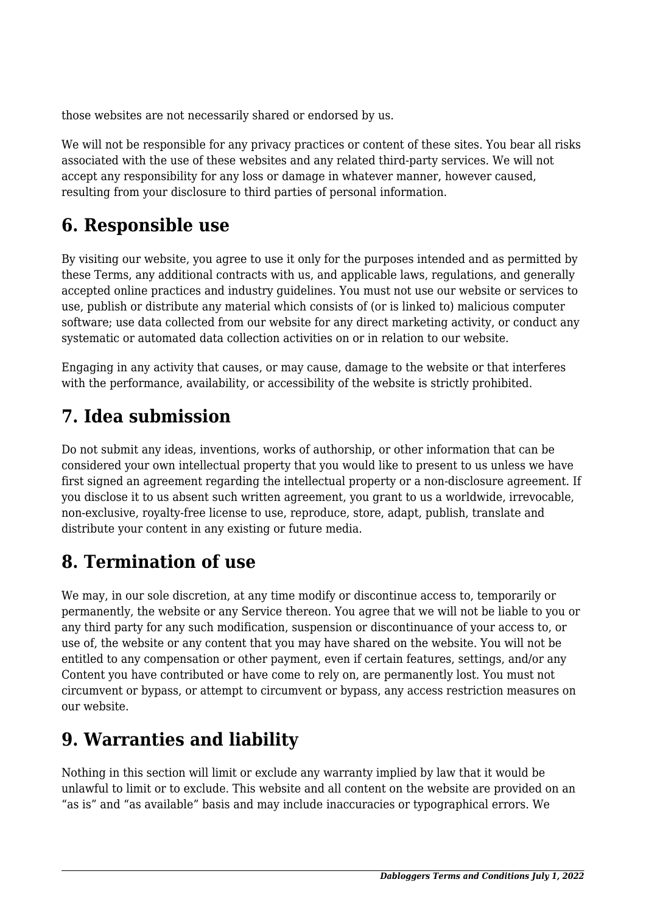those websites are not necessarily shared or endorsed by us.

We will not be responsible for any privacy practices or content of these sites. You bear all risks associated with the use of these websites and any related third-party services. We will not accept any responsibility for any loss or damage in whatever manner, however caused, resulting from your disclosure to third parties of personal information.

# **6. Responsible use**

By visiting our website, you agree to use it only for the purposes intended and as permitted by these Terms, any additional contracts with us, and applicable laws, regulations, and generally accepted online practices and industry guidelines. You must not use our website or services to use, publish or distribute any material which consists of (or is linked to) malicious computer software; use data collected from our website for any direct marketing activity, or conduct any systematic or automated data collection activities on or in relation to our website.

Engaging in any activity that causes, or may cause, damage to the website or that interferes with the performance, availability, or accessibility of the website is strictly prohibited.

# **7. Idea submission**

Do not submit any ideas, inventions, works of authorship, or other information that can be considered your own intellectual property that you would like to present to us unless we have first signed an agreement regarding the intellectual property or a non-disclosure agreement. If you disclose it to us absent such written agreement, you grant to us a worldwide, irrevocable, non-exclusive, royalty-free license to use, reproduce, store, adapt, publish, translate and distribute your content in any existing or future media.

### **8. Termination of use**

We may, in our sole discretion, at any time modify or discontinue access to, temporarily or permanently, the website or any Service thereon. You agree that we will not be liable to you or any third party for any such modification, suspension or discontinuance of your access to, or use of, the website or any content that you may have shared on the website. You will not be entitled to any compensation or other payment, even if certain features, settings, and/or any Content you have contributed or have come to rely on, are permanently lost. You must not circumvent or bypass, or attempt to circumvent or bypass, any access restriction measures on our website.

# **9. Warranties and liability**

Nothing in this section will limit or exclude any warranty implied by law that it would be unlawful to limit or to exclude. This website and all content on the website are provided on an "as is" and "as available" basis and may include inaccuracies or typographical errors. We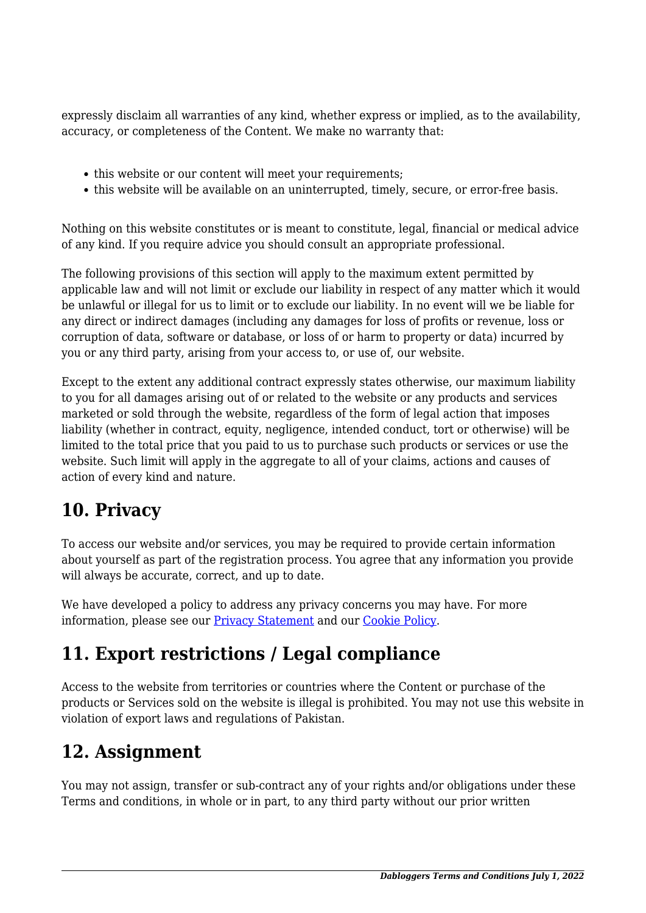expressly disclaim all warranties of any kind, whether express or implied, as to the availability, accuracy, or completeness of the Content. We make no warranty that:

- this website or our content will meet your requirements;
- this website will be available on an uninterrupted, timely, secure, or error-free basis.

Nothing on this website constitutes or is meant to constitute, legal, financial or medical advice of any kind. If you require advice you should consult an appropriate professional.

The following provisions of this section will apply to the maximum extent permitted by applicable law and will not limit or exclude our liability in respect of any matter which it would be unlawful or illegal for us to limit or to exclude our liability. In no event will we be liable for any direct or indirect damages (including any damages for loss of profits or revenue, loss or corruption of data, software or database, or loss of or harm to property or data) incurred by you or any third party, arising from your access to, or use of, our website.

Except to the extent any additional contract expressly states otherwise, our maximum liability to you for all damages arising out of or related to the website or any products and services marketed or sold through the website, regardless of the form of legal action that imposes liability (whether in contract, equity, negligence, intended conduct, tort or otherwise) will be limited to the total price that you paid to us to purchase such products or services or use the website. Such limit will apply in the aggregate to all of your claims, actions and causes of action of every kind and nature.

### **10. Privacy**

To access our website and/or services, you may be required to provide certain information about yourself as part of the registration process. You agree that any information you provide will always be accurate, correct, and up to date.

We have developed a policy to address any privacy concerns you may have. For more information, please see our Privacy Statement and our Cookie Policy.

### **11. Export restrictions / Legal compliance**

Access to the website from territories or countries where the Content or purchase of the products or Services sold on the website is illegal is prohibited. You may not use this website in violation of export laws and regulations of Pakistan.

#### **12. Assignment**

You may not assign, transfer or sub-contract any of your rights and/or obligations under these Terms and conditions, in whole or in part, to any third party without our prior written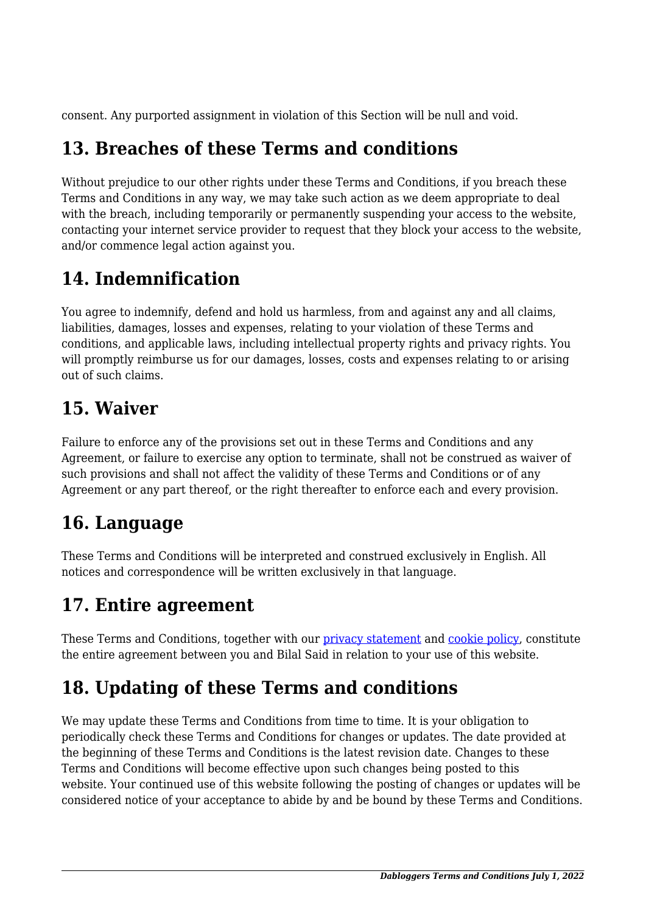consent. Any purported assignment in violation of this Section will be null and void.

### **13. Breaches of these Terms and conditions**

Without prejudice to our other rights under these Terms and Conditions, if you breach these Terms and Conditions in any way, we may take such action as we deem appropriate to deal with the breach, including temporarily or permanently suspending your access to the website, contacting your internet service provider to request that they block your access to the website, and/or commence legal action against you.

### **14. Indemnification**

You agree to indemnify, defend and hold us harmless, from and against any and all claims, liabilities, damages, losses and expenses, relating to your violation of these Terms and conditions, and applicable laws, including intellectual property rights and privacy rights. You will promptly reimburse us for our damages, losses, costs and expenses relating to or arising out of such claims.

### **15. Waiver**

Failure to enforce any of the provisions set out in these Terms and Conditions and any Agreement, or failure to exercise any option to terminate, shall not be construed as waiver of such provisions and shall not affect the validity of these Terms and Conditions or of any Agreement or any part thereof, or the right thereafter to enforce each and every provision.

# **16. Language**

These Terms and Conditions will be interpreted and construed exclusively in English. All notices and correspondence will be written exclusively in that language.

# **17. Entire agreement**

These Terms and Conditions, together with our privacy statement and cookie policy, constitute the entire agreement between you and Bilal Said in relation to your use of this website.

# **18. Updating of these Terms and conditions**

We may update these Terms and Conditions from time to time. It is your obligation to periodically check these Terms and Conditions for changes or updates. The date provided at the beginning of these Terms and Conditions is the latest revision date. Changes to these Terms and Conditions will become effective upon such changes being posted to this website. Your continued use of this website following the posting of changes or updates will be considered notice of your acceptance to abide by and be bound by these Terms and Conditions.